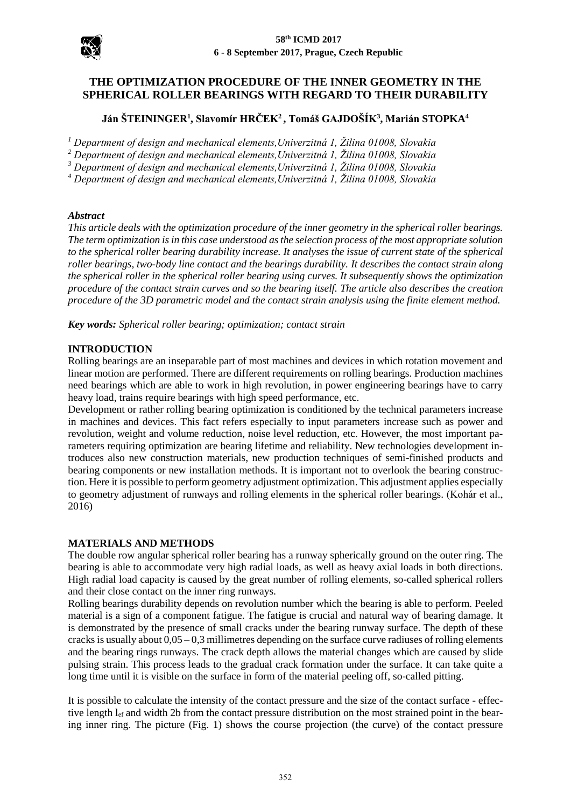

# **THE OPTIMIZATION PROCEDURE OF THE INNER GEOMETRY IN THE SPHERICAL ROLLER BEARINGS WITH REGARD TO THEIR DURABILITY**

# **Ján ŠTEININGER<sup>1</sup> , Slavomír HRČEK<sup>2</sup> , Tomáš GAJDOŠÍK<sup>3</sup> , Marián STOPKA<sup>4</sup>**

*<sup>1</sup> Department of design and mechanical elements,Univerzitná 1, Žilina 01008, Slovakia* 

*<sup>2</sup> Department of design and mechanical elements,Univerzitná 1, Žilina 01008, Slovakia* 

*<sup>3</sup> Department of design and mechanical elements,Univerzitná 1, Žilina 01008, Slovakia* 

*<sup>4</sup> Department of design and mechanical elements,Univerzitná 1, Žilina 01008, Slovakia* 

### *Abstract*

*This article deals with the optimization procedure of the inner geometry in the spherical roller bearings. The term optimization is in this case understood as the selection process of the most appropriate solution to the spherical roller bearing durability increase. It analyses the issue of current state of the spherical roller bearings, two-body line contact and the bearings durability. It describes the contact strain along the spherical roller in the spherical roller bearing using curves. It subsequently shows the optimization procedure of the contact strain curves and so the bearing itself. The article also describes the creation procedure of the 3D parametric model and the contact strain analysis using the finite element method.* 

*Key words: Spherical roller bearing; optimization; contact strain*

### **INTRODUCTION**

Rolling bearings are an inseparable part of most machines and devices in which rotation movement and linear motion are performed. There are different requirements on rolling bearings. Production machines need bearings which are able to work in high revolution, in power engineering bearings have to carry heavy load, trains require bearings with high speed performance, etc.

Development or rather rolling bearing optimization is conditioned by the technical parameters increase in machines and devices. This fact refers especially to input parameters increase such as power and revolution, weight and volume reduction, noise level reduction, etc. However, the most important parameters requiring optimization are bearing lifetime and reliability. New technologies development introduces also new construction materials, new production techniques of semi-finished products and bearing components or new installation methods. It is important not to overlook the bearing construction. Here it is possible to perform geometry adjustment optimization. This adjustment applies especially to geometry adjustment of runways and rolling elements in the spherical roller bearings. (Kohár et al., 2016)

# **MATERIALS AND METHODS**

The double row angular spherical roller bearing has a runway spherically ground on the outer ring. The bearing is able to accommodate very high radial loads, as well as heavy axial loads in both directions. High radial load capacity is caused by the great number of rolling elements, so-called spherical rollers and their close contact on the inner ring runways.

Rolling bearings durability depends on revolution number which the bearing is able to perform. Peeled material is a sign of a component fatigue. The fatigue is crucial and natural way of bearing damage. It is demonstrated by the presence of small cracks under the bearing runway surface. The depth of these cracks is usually about  $0.05 - 0.3$  millimetres depending on the surface curve radiuses of rolling elements and the bearing rings runways. The crack depth allows the material changes which are caused by slide pulsing strain. This process leads to the gradual crack formation under the surface. It can take quite a long time until it is visible on the surface in form of the material peeling off, so-called pitting.

It is possible to calculate the intensity of the contact pressure and the size of the contact surface - effective length  $l_{\rm ef}$  and width 2b from the contact pressure distribution on the most strained point in the bearing inner ring. The picture (Fig. 1) shows the course projection (the curve) of the contact pressure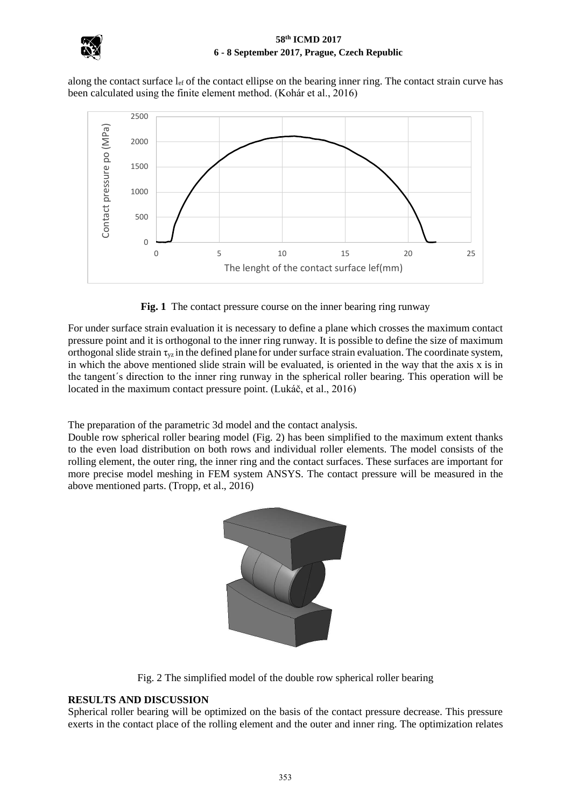

### **58th ICMD 2017 6 - 8 September 2017, Prague, Czech Republic**

along the contact surface lef of the contact ellipse on the bearing inner ring. The contact strain curve has been calculated using the finite element method. (Kohár et al., 2016)



**Fig. 1** The contact pressure course on the inner bearing ring runway

For under surface strain evaluation it is necessary to define a plane which crosses the maximum contact pressure point and it is orthogonal to the inner ring runway. It is possible to define the size of maximum orthogonal slide strain  $\tau_{yz}$  in the defined plane for under surface strain evaluation. The coordinate system, in which the above mentioned slide strain will be evaluated, is oriented in the way that the axis x is in the tangent´s direction to the inner ring runway in the spherical roller bearing. This operation will be located in the maximum contact pressure point. (Lukáč, et al., 2016)

The preparation of the parametric 3d model and the contact analysis.

Double row spherical roller bearing model (Fig. 2) has been simplified to the maximum extent thanks to the even load distribution on both rows and individual roller elements. The model consists of the rolling element, the outer ring, the inner ring and the contact surfaces. These surfaces are important for more precise model meshing in FEM system ANSYS. The contact pressure will be measured in the above mentioned parts. (Tropp, et al., 2016)



Fig. 2 The simplified model of the double row spherical roller bearing

# **RESULTS AND DISCUSSION**

Spherical roller bearing will be optimized on the basis of the contact pressure decrease. This pressure exerts in the contact place of the rolling element and the outer and inner ring. The optimization relates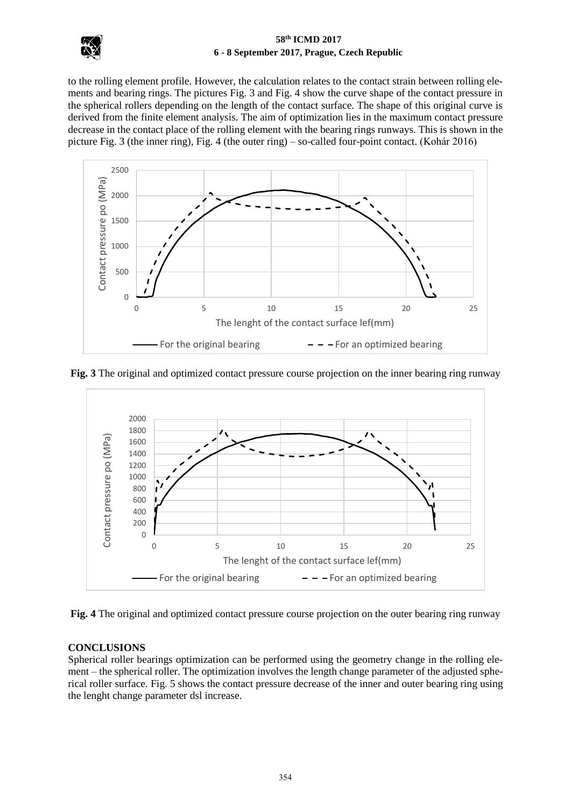

# **58th ICMD 2017 6 - 8 September 2017, Prague, Czech Republic**

to the rolling element profile. However, the calculation relates to the contact strain between rolling elements and bearing rings. The pictures Fig. 3 and Fig. 4 show the curve shape of the contact pressure in the spherical rollers depending on the length of the contact surface. The shape of this original curve is derived from the finite element analysis. The aim of optimization lies in the maximum contact pressure decrease in the contact place of the rolling element with the bearing rings runways. This is shown in the picture Fig. 3 (the inner ring), Fig. 4 (the outer ring) – so-called four-point contact. (Kohár 2016)



**Fig. 3** The original and optimized contact pressure course projection on the inner bearing ring runway



**Fig. 4** The original and optimized contact pressure course projection on the outer bearing ring runway

# **CONCLUSIONS**

Spherical roller bearings optimization can be performed using the geometry change in the rolling element – the spherical roller. The optimization involves the length change parameter of the adjusted spherical roller surface. Fig. 5 shows the contact pressure decrease of the inner and outer bearing ring using the lenght change parameter dsl increase.